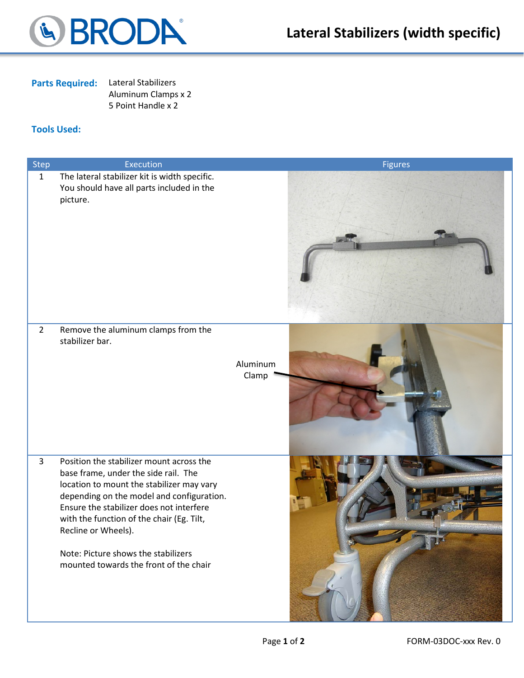

## **Parts Required:** Lateral Stabilizers

Aluminum Clamps x 2 5 Point Handle x 2

## **Tools Used:**

| Step           | <b>Execution</b>                                                                                                                                                                                                                                                                                                                                                            | <b>Figures</b>    |
|----------------|-----------------------------------------------------------------------------------------------------------------------------------------------------------------------------------------------------------------------------------------------------------------------------------------------------------------------------------------------------------------------------|-------------------|
| $\mathbf 1$    | The lateral stabilizer kit is width specific.<br>You should have all parts included in the<br>picture.                                                                                                                                                                                                                                                                      |                   |
| $\overline{2}$ | Remove the aluminum clamps from the<br>stabilizer bar.                                                                                                                                                                                                                                                                                                                      | Aluminum<br>Clamp |
| $\overline{3}$ | Position the stabilizer mount across the<br>base frame, under the side rail. The<br>location to mount the stabilizer may vary<br>depending on the model and configuration.<br>Ensure the stabilizer does not interfere<br>with the function of the chair (Eg. Tilt,<br>Recline or Wheels).<br>Note: Picture shows the stabilizers<br>mounted towards the front of the chair |                   |